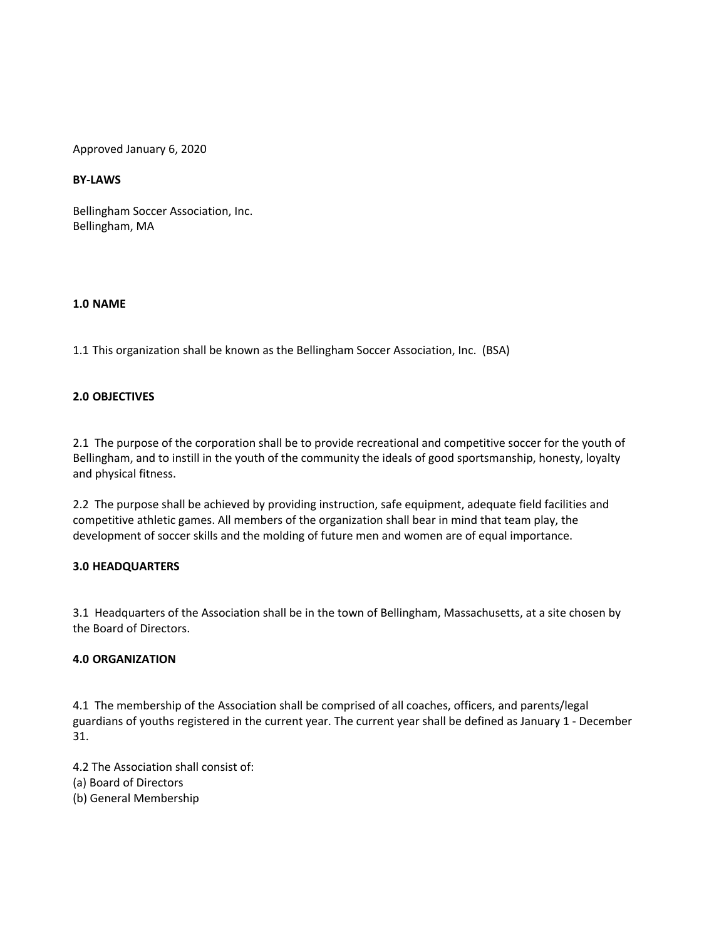Approved January 6, 2020

## **BY-LAWS**

Bellingham Soccer Association, Inc. Bellingham, MA

## **1.0 NAME**

1.1 This organization shall be known as the Bellingham Soccer Association, Inc. (BSA)

## **2.0 OBJECTIVES**

2.1 The purpose of the corporation shall be to provide recreational and competitive soccer for the youth of Bellingham, and to instill in the youth of the community the ideals of good sportsmanship, honesty, loyalty and physical fitness.

2.2 The purpose shall be achieved by providing instruction, safe equipment, adequate field facilities and competitive athletic games. All members of the organization shall bear in mind that team play, the development of soccer skills and the molding of future men and women are of equal importance.

### **3.0 HEADQUARTERS**

3.1 Headquarters of the Association shall be in the town of Bellingham, Massachusetts, at a site chosen by the Board of Directors.

### **4.0 ORGANIZATION**

4.1 The membership of the Association shall be comprised of all coaches, officers, and parents/legal guardians of youths registered in the current year. The current year shall be defined as January 1 - December 31.

4.2 The Association shall consist of: (a) Board of Directors (b) General Membership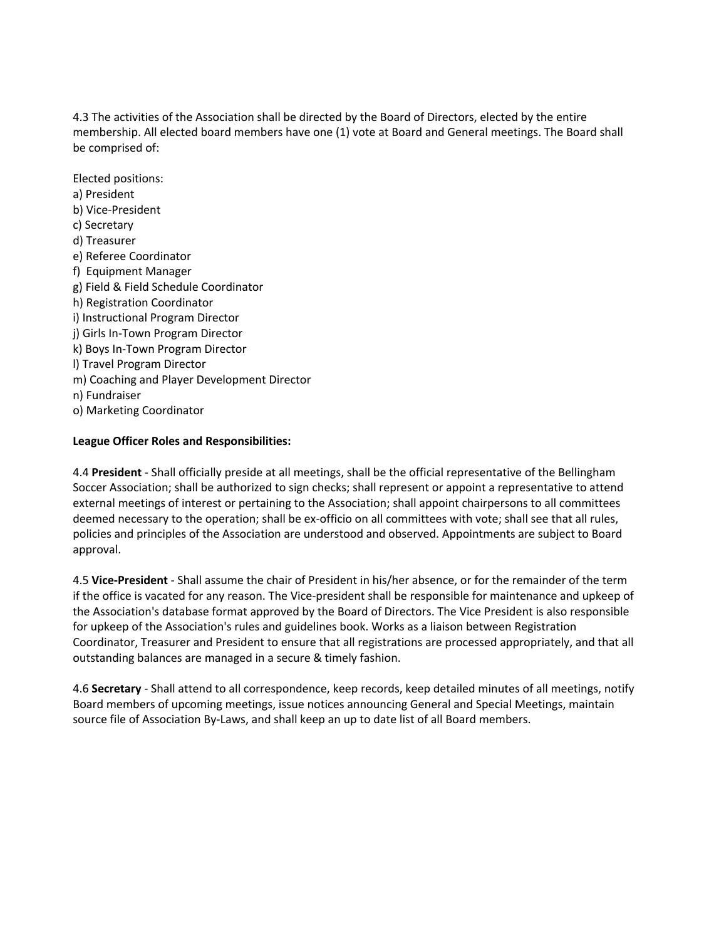4.3 The activities of the Association shall be directed by the Board of Directors, elected by the entire membership. All elected board members have one (1) vote at Board and General meetings. The Board shall be comprised of:

Elected positions: a) President b) Vice-President c) Secretary d) Treasurer e) Referee Coordinator f) Equipment Manager g) Field & Field Schedule Coordinator h) Registration Coordinator i) Instructional Program Director j) Girls In-Town Program Director k) Boys In-Town Program Director l) Travel Program Director m) Coaching and Player Development Director n) Fundraiser o) Marketing Coordinator

## **League Officer Roles and Responsibilities:**

4.4 **President** - Shall officially preside at all meetings, shall be the official representative of the Bellingham Soccer Association; shall be authorized to sign checks; shall represent or appoint a representative to attend external meetings of interest or pertaining to the Association; shall appoint chairpersons to all committees deemed necessary to the operation; shall be ex-officio on all committees with vote; shall see that all rules, policies and principles of the Association are understood and observed. Appointments are subject to Board approval.

4.5 **Vice-President** - Shall assume the chair of President in his/her absence, or for the remainder of the term if the office is vacated for any reason. The Vice-president shall be responsible for maintenance and upkeep of the Association's database format approved by the Board of Directors. The Vice President is also responsible for upkeep of the Association's rules and guidelines book. Works as a liaison between Registration Coordinator, Treasurer and President to ensure that all registrations are processed appropriately, and that all outstanding balances are managed in a secure & timely fashion.

4.6 **Secretary** - Shall attend to all correspondence, keep records, keep detailed minutes of all meetings, notify Board members of upcoming meetings, issue notices announcing General and Special Meetings, maintain source file of Association By-Laws, and shall keep an up to date list of all Board members.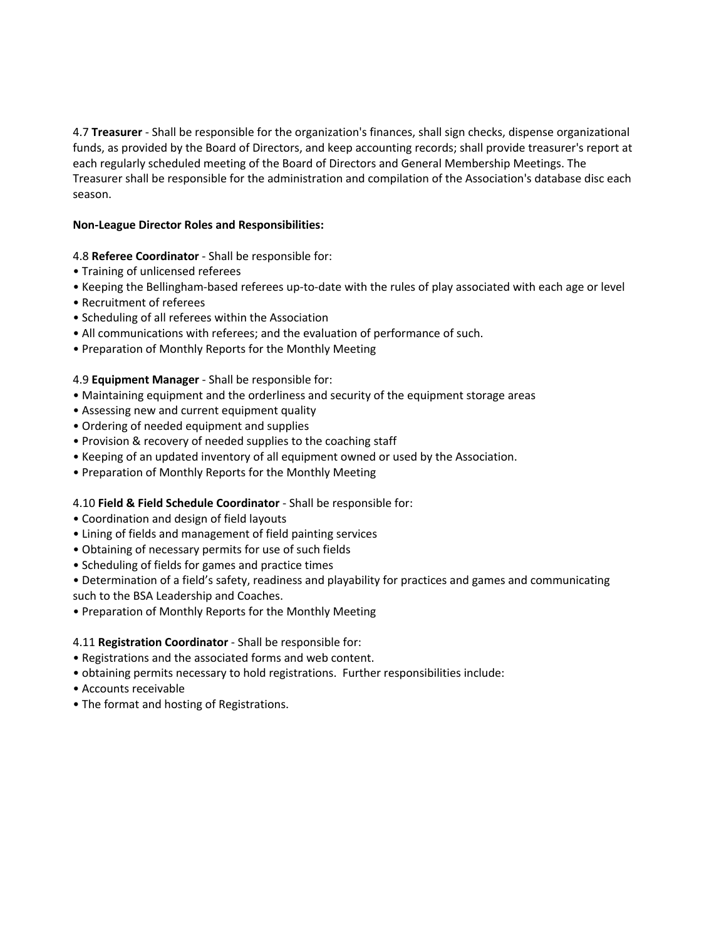4.7 **Treasurer** - Shall be responsible for the organization's finances, shall sign checks, dispense organizational funds, as provided by the Board of Directors, and keep accounting records; shall provide treasurer's report at each regularly scheduled meeting of the Board of Directors and General Membership Meetings. The Treasurer shall be responsible for the administration and compilation of the Association's database disc each season.

## **Non-League Director Roles and Responsibilities:**

## 4.8 **Referee Coordinator** - Shall be responsible for:

- Training of unlicensed referees
- Keeping the Bellingham-based referees up-to-date with the rules of play associated with each age or level
- Recruitment of referees
- Scheduling of all referees within the Association
- All communications with referees; and the evaluation of performance of such.
- Preparation of Monthly Reports for the Monthly Meeting

### 4.9 **Equipment Manager** - Shall be responsible for:

- Maintaining equipment and the orderliness and security of the equipment storage areas
- Assessing new and current equipment quality
- Ordering of needed equipment and supplies
- Provision & recovery of needed supplies to the coaching staff
- Keeping of an updated inventory of all equipment owned or used by the Association.
- Preparation of Monthly Reports for the Monthly Meeting

### 4.10 **Field & Field Schedule Coordinator** - Shall be responsible for:

- Coordination and design of field layouts
- Lining of fields and management of field painting services
- Obtaining of necessary permits for use of such fields
- Scheduling of fields for games and practice times
- Determination of a field's safety, readiness and playability for practices and games and communicating such to the BSA Leadership and Coaches.
- Preparation of Monthly Reports for the Monthly Meeting

### 4.11 **Registration Coordinator** - Shall be responsible for:

- Registrations and the associated forms and web content.
- obtaining permits necessary to hold registrations. Further responsibilities include:
- Accounts receivable
- The format and hosting of Registrations.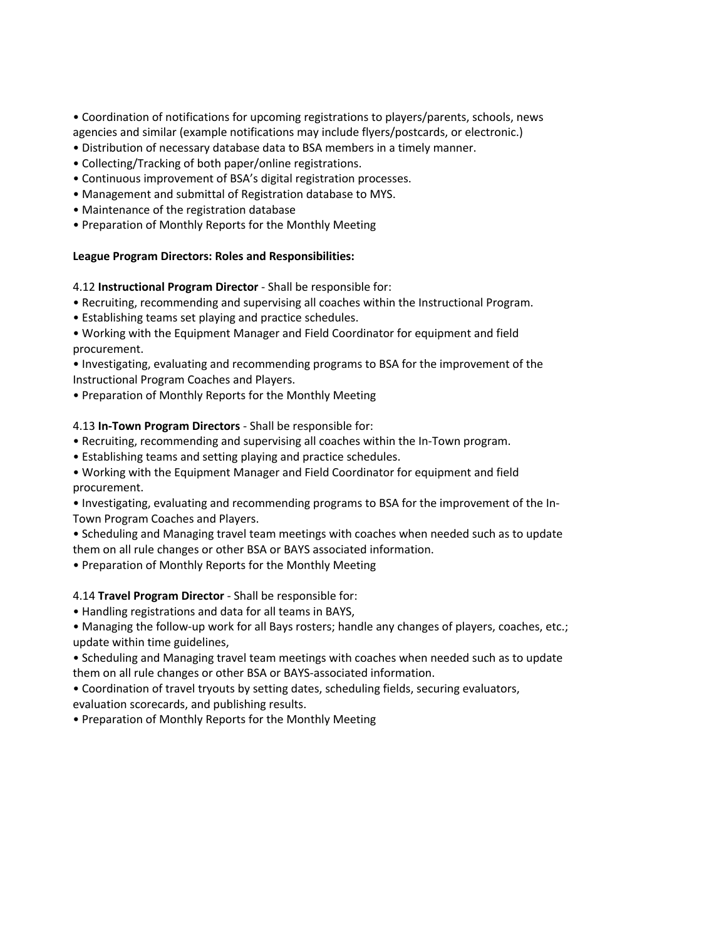• Coordination of notifications for upcoming registrations to players/parents, schools, news agencies and similar (example notifications may include flyers/postcards, or electronic.)

- Distribution of necessary database data to BSA members in a timely manner.
- Collecting/Tracking of both paper/online registrations.
- Continuous improvement of BSA's digital registration processes.
- Management and submittal of Registration database to MYS.
- Maintenance of the registration database
- Preparation of Monthly Reports for the Monthly Meeting

## **League Program Directors: Roles and Responsibilities:**

### 4.12 **Instructional Program Director** - Shall be responsible for:

- Recruiting, recommending and supervising all coaches within the Instructional Program.
- Establishing teams set playing and practice schedules.
- Working with the Equipment Manager and Field Coordinator for equipment and field procurement.

• Investigating, evaluating and recommending programs to BSA for the improvement of the Instructional Program Coaches and Players.

• Preparation of Monthly Reports for the Monthly Meeting

## 4.13 **In-Town Program Directors** - Shall be responsible for:

- Recruiting, recommending and supervising all coaches within the In-Town program.
- Establishing teams and setting playing and practice schedules.
- Working with the Equipment Manager and Field Coordinator for equipment and field procurement.

• Investigating, evaluating and recommending programs to BSA for the improvement of the In-Town Program Coaches and Players.

• Scheduling and Managing travel team meetings with coaches when needed such as to update them on all rule changes or other BSA or BAYS associated information.

• Preparation of Monthly Reports for the Monthly Meeting

### 4.14 **Travel Program Director** - Shall be responsible for:

- Handling registrations and data for all teams in BAYS,
- Managing the follow-up work for all Bays rosters; handle any changes of players, coaches, etc.; update within time guidelines,
- Scheduling and Managing travel team meetings with coaches when needed such as to update them on all rule changes or other BSA or BAYS-associated information.
- Coordination of travel tryouts by setting dates, scheduling fields, securing evaluators, evaluation scorecards, and publishing results.
- Preparation of Monthly Reports for the Monthly Meeting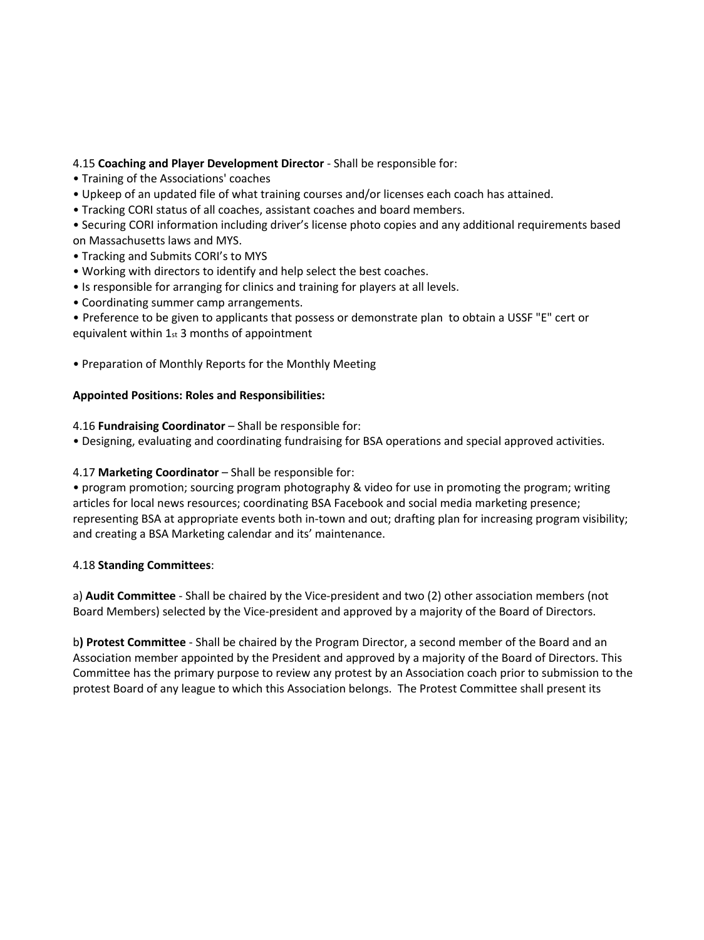## 4.15 **Coaching and Player Development Director** - Shall be responsible for:

- Training of the Associations' coaches
- Upkeep of an updated file of what training courses and/or licenses each coach has attained.
- Tracking CORI status of all coaches, assistant coaches and board members.

• Securing CORI information including driver's license photo copies and any additional requirements based on Massachusetts laws and MYS.

- Tracking and Submits CORI's to MYS
- Working with directors to identify and help select the best coaches.
- Is responsible for arranging for clinics and training for players at all levels.
- Coordinating summer camp arrangements.

• Preference to be given to applicants that possess or demonstrate plan to obtain a USSF "E" cert or equivalent within 1st 3 months of appointment

• Preparation of Monthly Reports for the Monthly Meeting

### **Appointed Positions: Roles and Responsibilities:**

### 4.16 **Fundraising Coordinator** – Shall be responsible for:

• Designing, evaluating and coordinating fundraising for BSA operations and special approved activities.

### 4.17 **Marketing Coordinator** – Shall be responsible for:

• program promotion; sourcing program photography & video for use in promoting the program; writing articles for local news resources; coordinating BSA Facebook and social media marketing presence; representing BSA at appropriate events both in-town and out; drafting plan for increasing program visibility; and creating a BSA Marketing calendar and its' maintenance.

### 4.18 **Standing Committees**:

a) **Audit Committee** - Shall be chaired by the Vice-president and two (2) other association members (not Board Members) selected by the Vice-president and approved by a majority of the Board of Directors.

b**) Protest Committee** - Shall be chaired by the Program Director, a second member of the Board and an Association member appointed by the President and approved by a majority of the Board of Directors. This Committee has the primary purpose to review any protest by an Association coach prior to submission to the protest Board of any league to which this Association belongs. The Protest Committee shall present its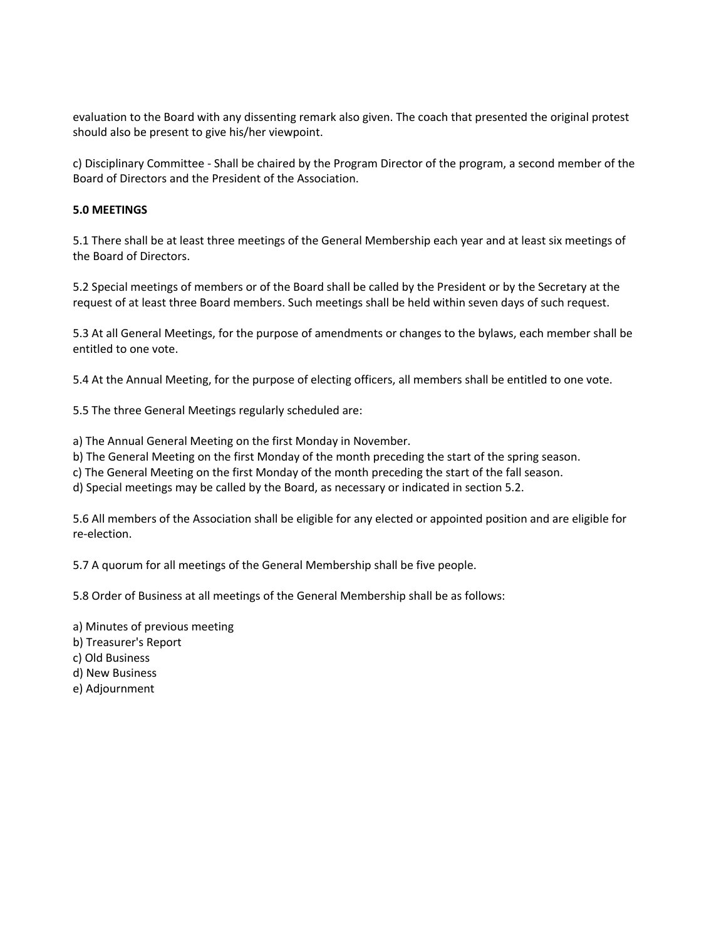evaluation to the Board with any dissenting remark also given. The coach that presented the original protest should also be present to give his/her viewpoint.

c) Disciplinary Committee - Shall be chaired by the Program Director of the program, a second member of the Board of Directors and the President of the Association.

## **5.0 MEETINGS**

5.1 There shall be at least three meetings of the General Membership each year and at least six meetings of the Board of Directors.

5.2 Special meetings of members or of the Board shall be called by the President or by the Secretary at the request of at least three Board members. Such meetings shall be held within seven days of such request.

5.3 At all General Meetings, for the purpose of amendments or changes to the bylaws, each member shall be entitled to one vote.

5.4 At the Annual Meeting, for the purpose of electing officers, all members shall be entitled to one vote.

5.5 The three General Meetings regularly scheduled are:

a) The Annual General Meeting on the first Monday in November.

b) The General Meeting on the first Monday of the month preceding the start of the spring season.

c) The General Meeting on the first Monday of the month preceding the start of the fall season.

d) Special meetings may be called by the Board, as necessary or indicated in section 5.2.

5.6 All members of the Association shall be eligible for any elected or appointed position and are eligible for re-election.

5.7 A quorum for all meetings of the General Membership shall be five people.

5.8 Order of Business at all meetings of the General Membership shall be as follows:

- a) Minutes of previous meeting
- b) Treasurer's Report
- c) Old Business
- d) New Business
- e) Adjournment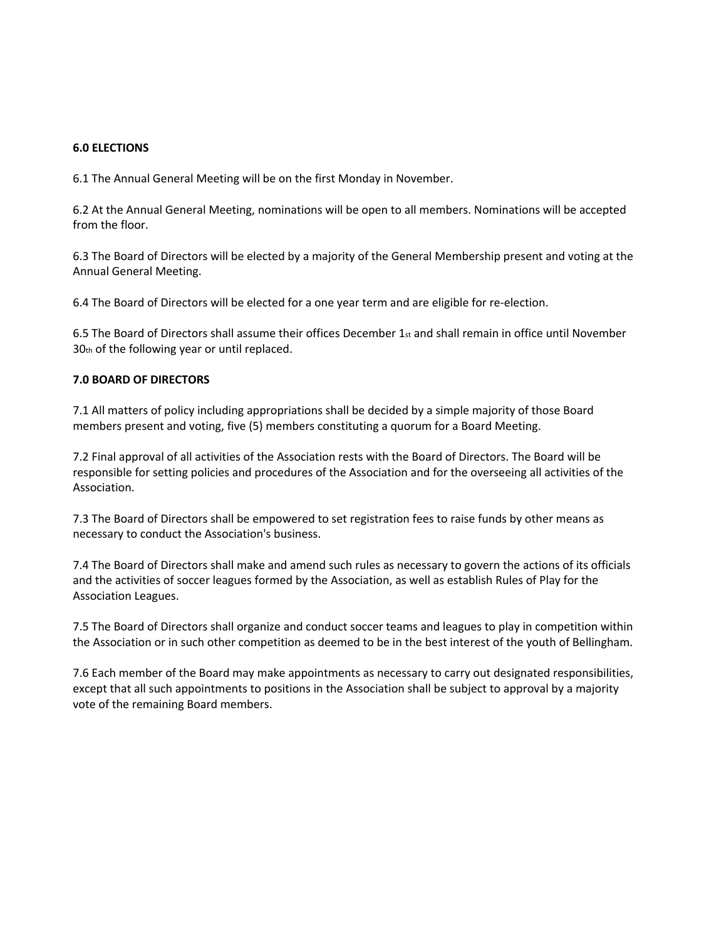### **6.0 ELECTIONS**

6.1 The Annual General Meeting will be on the first Monday in November.

6.2 At the Annual General Meeting, nominations will be open to all members. Nominations will be accepted from the floor.

6.3 The Board of Directors will be elected by a majority of the General Membership present and voting at the Annual General Meeting.

6.4 The Board of Directors will be elected for a one year term and are eligible for re-election.

6.5 The Board of Directors shall assume their offices December 1st and shall remain in office until November 30th of the following year or until replaced.

## **7.0 BOARD OF DIRECTORS**

7.1 All matters of policy including appropriations shall be decided by a simple majority of those Board members present and voting, five (5) members constituting a quorum for a Board Meeting.

7.2 Final approval of all activities of the Association rests with the Board of Directors. The Board will be responsible for setting policies and procedures of the Association and for the overseeing all activities of the Association.

7.3 The Board of Directors shall be empowered to set registration fees to raise funds by other means as necessary to conduct the Association's business.

7.4 The Board of Directors shall make and amend such rules as necessary to govern the actions of its officials and the activities of soccer leagues formed by the Association, as well as establish Rules of Play for the Association Leagues.

7.5 The Board of Directors shall organize and conduct soccer teams and leagues to play in competition within the Association or in such other competition as deemed to be in the best interest of the youth of Bellingham.

7.6 Each member of the Board may make appointments as necessary to carry out designated responsibilities, except that all such appointments to positions in the Association shall be subject to approval by a majority vote of the remaining Board members.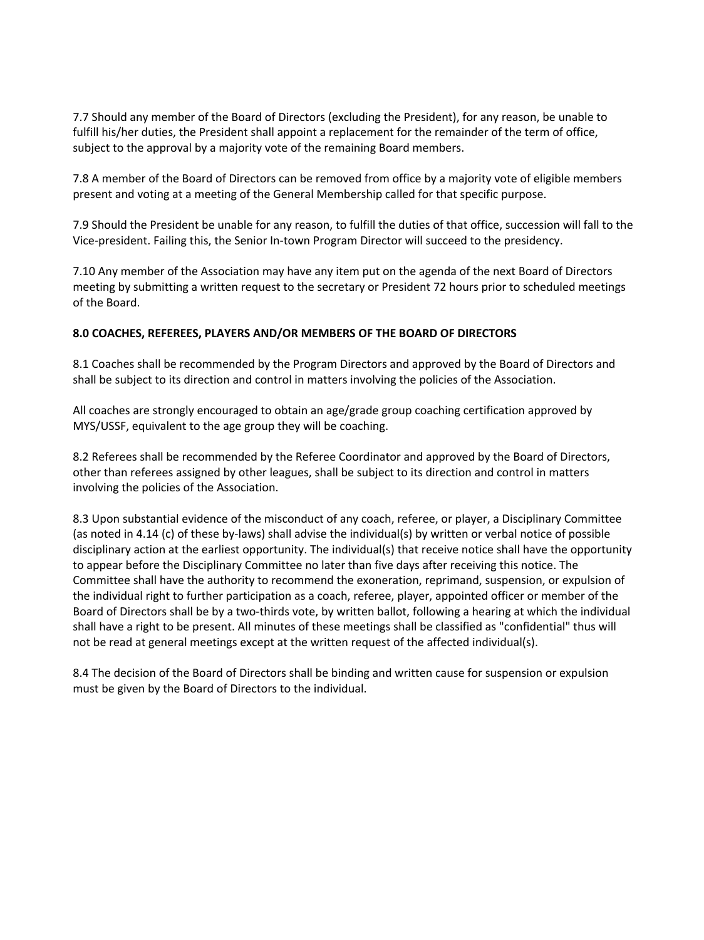7.7 Should any member of the Board of Directors (excluding the President), for any reason, be unable to fulfill his/her duties, the President shall appoint a replacement for the remainder of the term of office, subject to the approval by a majority vote of the remaining Board members.

7.8 A member of the Board of Directors can be removed from office by a majority vote of eligible members present and voting at a meeting of the General Membership called for that specific purpose.

7.9 Should the President be unable for any reason, to fulfill the duties of that office, succession will fall to the Vice-president. Failing this, the Senior In-town Program Director will succeed to the presidency.

7.10 Any member of the Association may have any item put on the agenda of the next Board of Directors meeting by submitting a written request to the secretary or President 72 hours prior to scheduled meetings of the Board.

## **8.0 COACHES, REFEREES, PLAYERS AND/OR MEMBERS OF THE BOARD OF DIRECTORS**

8.1 Coaches shall be recommended by the Program Directors and approved by the Board of Directors and shall be subject to its direction and control in matters involving the policies of the Association.

All coaches are strongly encouraged to obtain an age/grade group coaching certification approved by MYS/USSF, equivalent to the age group they will be coaching.

8.2 Referees shall be recommended by the Referee Coordinator and approved by the Board of Directors, other than referees assigned by other leagues, shall be subject to its direction and control in matters involving the policies of the Association.

8.3 Upon substantial evidence of the misconduct of any coach, referee, or player, a Disciplinary Committee (as noted in 4.14 (c) of these by-laws) shall advise the individual(s) by written or verbal notice of possible disciplinary action at the earliest opportunity. The individual(s) that receive notice shall have the opportunity to appear before the Disciplinary Committee no later than five days after receiving this notice. The Committee shall have the authority to recommend the exoneration, reprimand, suspension, or expulsion of the individual right to further participation as a coach, referee, player, appointed officer or member of the Board of Directors shall be by a two-thirds vote, by written ballot, following a hearing at which the individual shall have a right to be present. All minutes of these meetings shall be classified as "confidential" thus will not be read at general meetings except at the written request of the affected individual(s).

8.4 The decision of the Board of Directors shall be binding and written cause for suspension or expulsion must be given by the Board of Directors to the individual.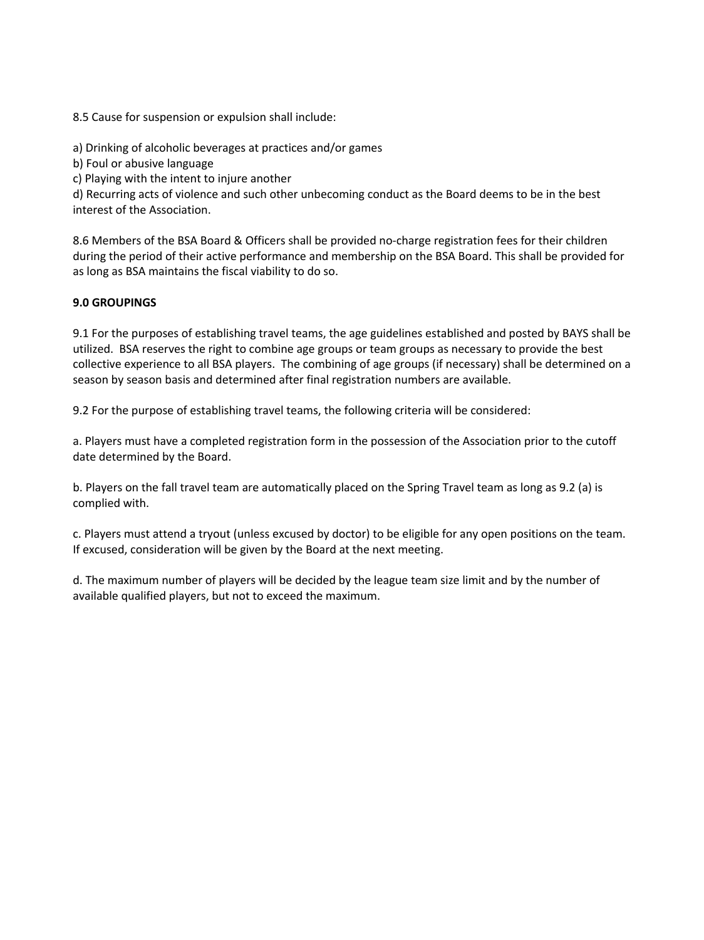8.5 Cause for suspension or expulsion shall include:

a) Drinking of alcoholic beverages at practices and/or games

b) Foul or abusive language

c) Playing with the intent to injure another

d) Recurring acts of violence and such other unbecoming conduct as the Board deems to be in the best interest of the Association.

8.6 Members of the BSA Board & Officers shall be provided no-charge registration fees for their children during the period of their active performance and membership on the BSA Board. This shall be provided for as long as BSA maintains the fiscal viability to do so.

## **9.0 GROUPINGS**

9.1 For the purposes of establishing travel teams, the age guidelines established and posted by BAYS shall be utilized. BSA reserves the right to combine age groups or team groups as necessary to provide the best collective experience to all BSA players. The combining of age groups (if necessary) shall be determined on a season by season basis and determined after final registration numbers are available.

9.2 For the purpose of establishing travel teams, the following criteria will be considered:

a. Players must have a completed registration form in the possession of the Association prior to the cutoff date determined by the Board.

b. Players on the fall travel team are automatically placed on the Spring Travel team as long as 9.2 (a) is complied with.

c. Players must attend a tryout (unless excused by doctor) to be eligible for any open positions on the team. If excused, consideration will be given by the Board at the next meeting.

d. The maximum number of players will be decided by the league team size limit and by the number of available qualified players, but not to exceed the maximum.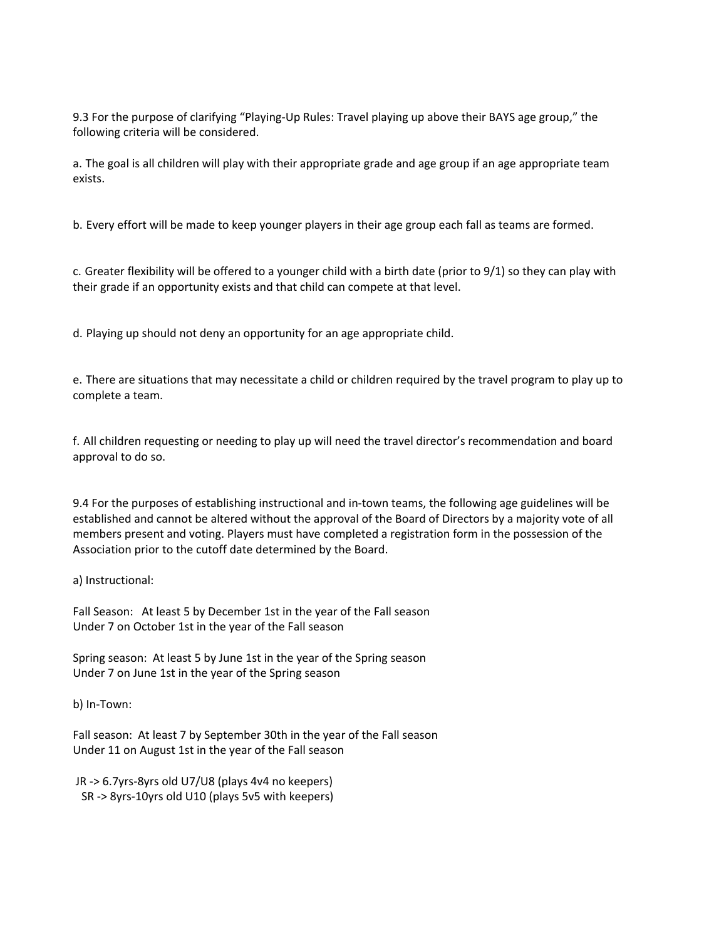9.3 For the purpose of clarifying "Playing-Up Rules: Travel playing up above their BAYS age group," the following criteria will be considered.

a. The goal is all children will play with their appropriate grade and age group if an age appropriate team exists.

b. Every effort will be made to keep younger players in their age group each fall as teams are formed.

c. Greater flexibility will be offered to a younger child with a birth date (prior to 9/1) so they can play with their grade if an opportunity exists and that child can compete at that level.

d. Playing up should not deny an opportunity for an age appropriate child.

e. There are situations that may necessitate a child or children required by the travel program to play up to complete a team.

f. All children requesting or needing to play up will need the travel director's recommendation and board approval to do so.

9.4 For the purposes of establishing instructional and in-town teams, the following age guidelines will be established and cannot be altered without the approval of the Board of Directors by a majority vote of all members present and voting. Players must have completed a registration form in the possession of the Association prior to the cutoff date determined by the Board.

a) Instructional:

Fall Season: At least 5 by December 1st in the year of the Fall season Under 7 on October 1st in the year of the Fall season

Spring season: At least 5 by June 1st in the year of the Spring season Under 7 on June 1st in the year of the Spring season

b) In-Town:

Fall season: At least 7 by September 30th in the year of the Fall season Under 11 on August 1st in the year of the Fall season

JR -> 6.7yrs-8yrs old U7/U8 (plays 4v4 no keepers) SR -> 8yrs-10yrs old U10 (plays 5v5 with keepers)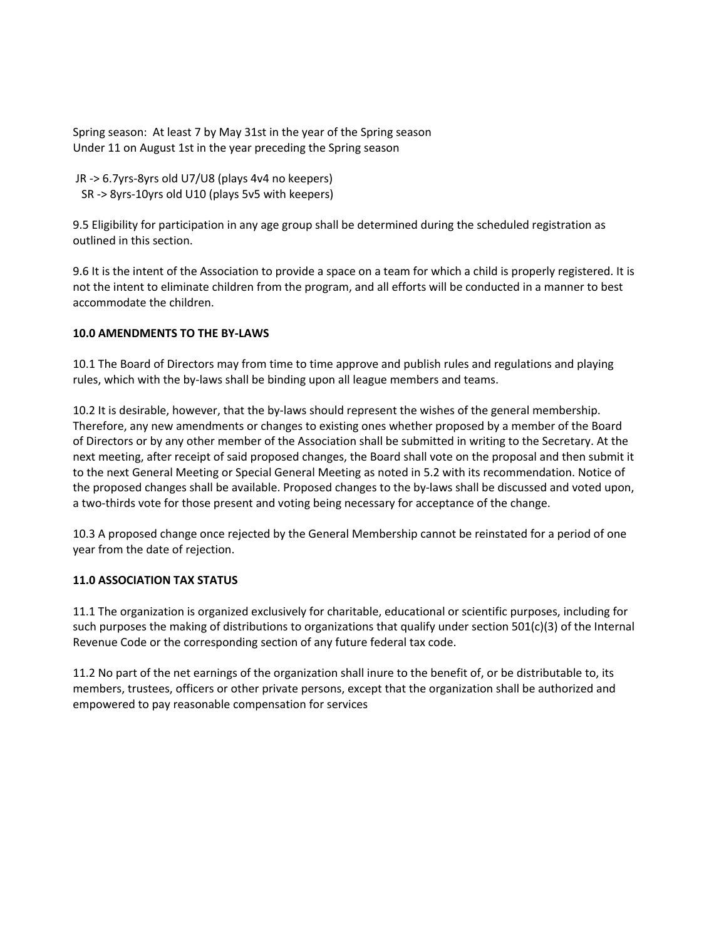Spring season: At least 7 by May 31st in the year of the Spring season Under 11 on August 1st in the year preceding the Spring season

JR -> 6.7yrs-8yrs old U7/U8 (plays 4v4 no keepers) SR -> 8yrs-10yrs old U10 (plays 5v5 with keepers)

9.5 Eligibility for participation in any age group shall be determined during the scheduled registration as outlined in this section.

9.6 It is the intent of the Association to provide a space on a team for which a child is properly registered. It is not the intent to eliminate children from the program, and all efforts will be conducted in a manner to best accommodate the children.

# **10.0 AMENDMENTS TO THE BY-LAWS**

10.1 The Board of Directors may from time to time approve and publish rules and regulations and playing rules, which with the by-laws shall be binding upon all league members and teams.

10.2 It is desirable, however, that the by-laws should represent the wishes of the general membership. Therefore, any new amendments or changes to existing ones whether proposed by a member of the Board of Directors or by any other member of the Association shall be submitted in writing to the Secretary. At the next meeting, after receipt of said proposed changes, the Board shall vote on the proposal and then submit it to the next General Meeting or Special General Meeting as noted in 5.2 with its recommendation. Notice of the proposed changes shall be available. Proposed changes to the by-laws shall be discussed and voted upon, a two-thirds vote for those present and voting being necessary for acceptance of the change.

10.3 A proposed change once rejected by the General Membership cannot be reinstated for a period of one year from the date of rejection.

## **11.0 ASSOCIATION TAX STATUS**

11.1 The organization is organized exclusively for charitable, educational or scientific purposes, including for such purposes the making of distributions to organizations that qualify under section 501(c)(3) of the Internal Revenue Code or the corresponding section of any future federal tax code.

11.2 No part of the net earnings of the organization shall inure to the benefit of, or be distributable to, its members, trustees, officers or other private persons, except that the organization shall be authorized and empowered to pay reasonable compensation for services